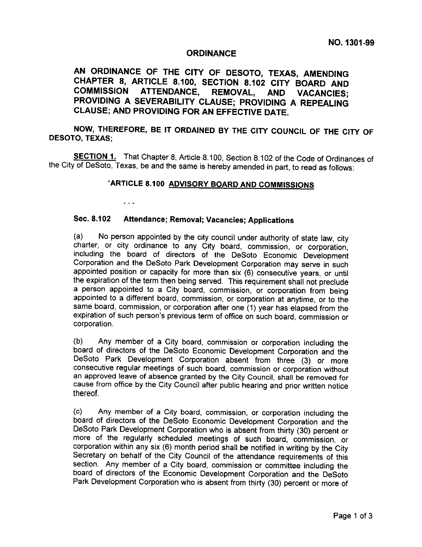## ORDINANCE

AN ORDINANCE OF THE CITY OF DESOTO, TEXAS, AMENDING AN ORDINANCE OF THE CITY OF DESOTO, TEXAS, AMENDING<br>CHAPTER 8, ARTICLE 8.100, SECTION 8.102 CITY BOARD AND<br>COMMISSION ATTENDANCE, REMOVAL AND VACANCIES. CHAPTER 8, ARTICLE 8.100, SECTION 8.102 CITY BOARD AND<br>COMMISSION ATTENDANCE, REMOVAL, AND VACANCIES;<br>PROVIDING A SEVERABILITY CLAUSE: PROVIDING A REPEALING SHAPTER 6, ARTICLE 6.100, SECTION 8.102 CITY BOARD AND<br>COMMISSION ATTENDANCE, REMOVAL, AND VACANCIES;<br>PROVIDING A SEVERABILITY CLAUSE; PROVIDING A REPEALING<br>CLAUSE; AND PROVIDING FOR AN EFFECTIVE DATE. COMMISSION ATTENDANCE, REMOVAL, AND<br>PROVIDING A SEVERABILITY CLAUSE; PROVIDING<br>CLAUSE; AND PROVIDING FOR AN EFFECTIVE DATE. COMMISSION ATTENDANCE, REMOVAL, AND VACANCIES;<br>PROVIDING A SEVERABILITY CLAUSE; PROVIDING A REPEALING<br>CLAUSE; AND PROVIDING FOR AN EFFECTIVE DATE.<br>NOW, THEREFORE, BE IT ORDAINED BY THE CITY COUNCIL OF THE CITY<br>DESOTO, TEXA

NOW, THEREFORE, BE IT ORDAINED BY THE CITY COUNCIL OF THE CITY OF<br>O TEXAS: **DESOTO, THE**<br>NOW, THE<br>DESOTO, TEXAS;

DESOTO, TEXAS;<br>SECTION 1. That Chapter 8, Article 8.100, Section 8.102 of the Code of Ordinances of

## "ARTICLE 8.100 ADVISORY BOARD AND COMMISSIONS

Sec. 8.102 Attendance; Removal; Vacancies; Applications<br>(a) No person appointed by the city council under authority of state law, city city ordinance to the city council under authority of state law, city<br>a) Mo person appointed by the city council under authority of state law, city<br>tharter, or city ordinance to any City board, commission, or corporation, a) No person appointed by the city council under authority of state law, city charter, or city ordinance to any City board, commission, or corporation, ncluding the board of directors of the DeSoto Economic Development Cor a) No person appointed by the city council under authority of state law, city harter, or city ordinance to any City board, commission, or corporation, ncluding the board of directors of the DeSoto Economic Development Corp Sec. 8.102 Attendance; Removal; Vacancies; Applications<br>
a) No person appointed by the city council under authority of state law, city<br>
thatter, or city ordinance to any City board, commission, or corporation,<br>
ncluding th the expiration of the term then being served. This requirement shall not preclude a person appointed to a City board, commission, or corporation from being appointed to a different board, commission, or corporation at anyt The expiration of the term then being served. This requirement shall not preclude<br>person appointed to a City board, commission, or corporation from being<br>ppointed to a different board, commission, or corporation at anytime Commission of the term then being served. This requirement shall not precide<br>person appointed to a City board, commission, or corporation from being<br>ppointed to a different board, commission, or corporation at anytime, or corporation.

(b) Any member of a City board, commission or corporation including the board of directors of the DeSoto Economic Development Corporation and the o) Any member of a City board, commission or corporation including the<br>oard of directors of the DeSoto Economic Development Corporation and the<br>)eSoto Park Development Corporation absent from three (3) or more by the City Board, commission of corporation including the<br>oard of directors of the DeSoto Economic Development Corporation and the<br>leSoto Park Development Corporation absent from three (3) or more<br>onsecutive regular meeti leSoto Park Development Corporation absent from three (3) or more onsecutive regular meetings of such board, commission or corporation without in approved leave of absence granted by the City Council, shall be removed for Economic In an approved leave of absence granted by the City Council, shall be removed for cause from office by the City Council after public hearing and prior written notice thereof.<br>
(c) Any member of a City board, commission, or

DeSoto Park Development Corporation who is absent from thirty (30) percent or board of directors of the DeSoto Economic Development Corporation and the eSoto Park Development Corporation who is absent from thirty (30) percent or effort the regularly scheduled meetings of such board, commission, or p orce of the regularly scheduled meetings of such board, commission, or<br>orporation within any six (6) month period shall be notified in writing by the City<br>ecretary on behalf of the City Council of the attendance requiremen corporation within any six (6) month period shall be notified in writing by the City Secretary on behalf of the City Council of the attendance requirements of this section. Any member of a City board, commission or committ board of directors of the Economic Development Corporation and the DeSoto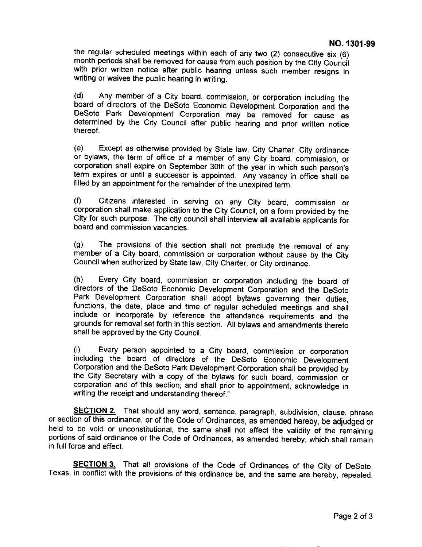the regular scheduled meetings within each of any two  $(2)$  consecutive six  $(6)$ the regular scheduled meetings within each of any two (2) consecutive six (6)<br>month periods shall be removed for cause from such position by the City Council<br>with prior written notice after public hearing unless such membe with prior written notice after public hearing unless such member resigns in<br>writing or waives the public hearing in writing.<br>(d) Any member of a City board, commission, or corporation including the

with prior written notice after public hearing unless such member resigns in<br>writing or waives the public hearing in writing.<br>(d) Any member of a City board, commission, or corporation including the<br>poard of directors of t (d) Any member of a City board, commission, or corporation including the<br>poard of directors of the DeSoto Economic Development Corporation and the<br>DeSoto Park Development Corporation may be removed for cause as<br>determined DeSoto Park Development Corporation may be removed for cause as<br>determined by the City Council after public hearing and prior written notice<br>thereof. thereof.

(e) Except as otherwise provided by State law, City Charter, City ordinance or bylaws, the term of office of a member of any City board, commission, or corporation shall expire on September 30th of the year in which such person's (e) Except as otherwise provided by State law, City Charter, City ordinance<br>or bylaws, the term of office of a member of any City board, commission, or<br>corporation shall expire on September 30th of the year in which such p For bylaws, the term of office of a member of any City board, commission, or corporation shall expire on September 30th of the year in which such person's erm expires or until a successor is appointed. Any vacancy in offic

filled by an appointment for the remainder of the unexpired term.<br>
(f) Citizens interested in serving on any City board, commission or corporation shall make application to the City Council, on a form provided by the illed by an appointment for the remainder of the unexpired term.<br>f) Citizens interested in serving on any City board, commission or<br>corporation shall make application to the City Council, on a form provided by the<br>city for f) Citizens interested in ser-<br>corporation shall make application<br>City for such purpose. The city corporated and commission vacancies.

oard and commission vacancies.<br>g) The provisions of this section shall not preclude the removal of any<br>nember of a City board, commission or corporation without cause by the City g) The provisions of this section shall not preclude the removal of any<br>nember of a City board, commission or corporation without cause by the City<br>Council when authorized by State law, City Charter, or City ordinance. g) The provisions of this section shall not preclude the removement of a City board, commission or corporation without cause b Council when authorized by State law, City Charter, or City ordinance.

nember of a City board, commission or corporation without cause by the City<br>Council when authorized by State law, City Charter, or City ordinance.<br>h) Every City board, commission or corporation including the board of<br>lirec directors of the DeSoto Economic Development Corporation and the DeSoto<br>Park Development Corporation shall adopt bylaws governing their duties,<br>unctions, the date, place and time of regular scheduled meetings and shall<br>ncl Park Development Corporation shall adopt bylaws governing their duties,<br>unctions, the date, place and time of regular scheduled meetings and shall<br>nclude or incorporate by reference the attendance requirements and the<br>roun nclude or incorporate by reference the attendance requirements and the prounds for removal set forth in this section. All bylaws and amendments thereto hall be approved by the City Council. shall be approved by the City Council.

Trounds for removal set forth in this section. All bylaws and amendments thereto<br>
that be approved by the City Council.<br>
(i) Every person appointed to a City board, commission or corporation<br>
cluding the board of directors (i) Every person appointed to a City board, commission or corporation including the board of directors of the DeSoto Economic Development Corporation and the DeSoto Park Development Corporation shall be provided by the Cit For the board of directors of the DeSoto Economic Development<br>acouding the board of directors of the DeSoto Economic Development<br>Corporation and the DeSoto Park Development Corporation shall be provided by<br>the City Secreta suppriation and the DeSoto Park Development Corporation shall be provided by<br>he City Secretary with a copy of the bylaws for such board, commission or<br>orporation and of this section; and shall prior to appointment, acknowl writing the receipt and understanding thereof."

orporation and of this section; and shall prior to appointment, acknowledge in<br>vriting the receipt and understanding thereof."<br>ECTION 2. That should any word, sentence, paragraph, subdivision, clause, phrase<br>n of this ordi SECTION 2. That should any word, sentence, paragraph, subdivision, clause, phrase<br>r section of this ordinance, or of the Code of Ordinances, as amended hereby, be adjudged or<br>eld to be void or unconstitutional, the same sh **SECTION 2.** That should any word, sentence, paragraph, subdivision, clause, phrase r section of this ordinance, or of the Code of Ordinances, as amended hereby, be adjudged or eld to be void or unconstitutional, the same The Code of Ordinances, as amended hereby, be adjudged or eld to be void or unconstitutional, the same shall not affect the validity of the remaining ortions of said ordinance or the Code of Ordinances, as amended hereby, held to be void or unconstitutional, the same shall not affect the validity of the remaining portions of said ordinance or the Code of Ordinances, as amended hereby, which shall remain in full force and effect.

SECTION 3. That all provisions of the Code of Ordinances of the City of DeSoto. Texas, in conflict with the provisions of this ordinance be, and the same are hereby, repealed,